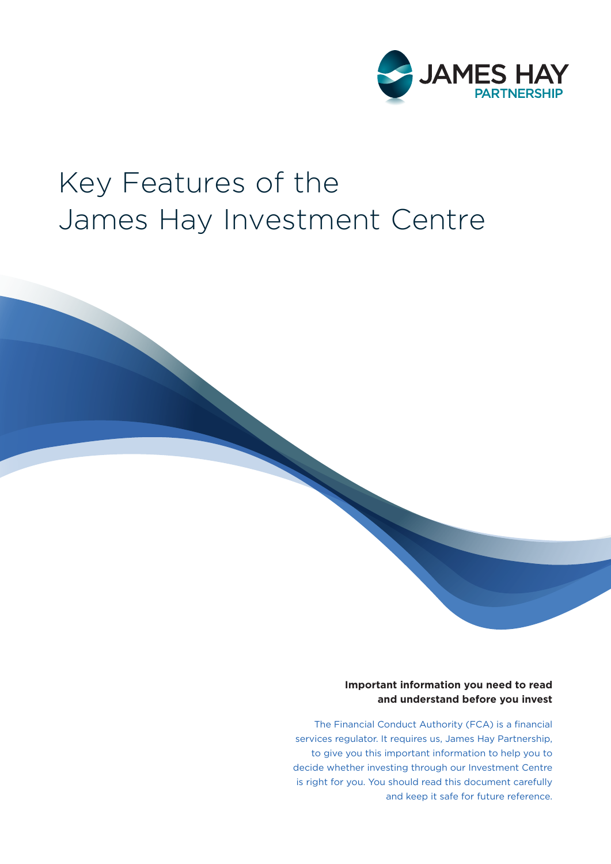

# Key Features of the James Hay Investment Centre

#### **Important information you need to read and understand before you invest**

The Financial Conduct Authority (FCA) is a financial services regulator. It requires us, James Hay Partnership, to give you this important information to help you to decide whether investing through our Investment Centre is right for you. You should read this document carefully and keep it safe for future reference.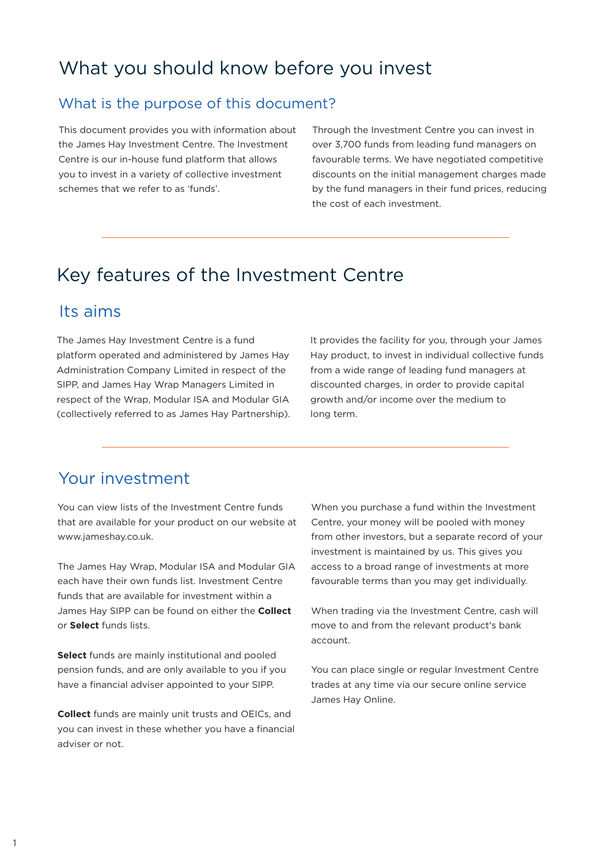# What you should know before you invest

#### What is the purpose of this document?

This document provides you with information about the James Hay Investment Centre. The Investment Centre is our in-house fund platform that allows you to invest in a variety of collective investment schemes that we refer to as 'funds'.

Through the Investment Centre you can invest in over 3,700 funds from leading fund managers on favourable terms. We have negotiated competitive discounts on the initial management charges made by the fund managers in their fund prices, reducing the cost of each investment.

### Key features of the Investment Centre

### Its aims

The James Hay Investment Centre is a fund platform operated and administered by James Hay Administration Company Limited in respect of the SIPP, and James Hay Wrap Managers Limited in respect of the Wrap, Modular ISA and Modular GIA (collectively referred to as James Hay Partnership). It provides the facility for you, through your James Hay product, to invest in individual collective funds from a wide range of leading fund managers at discounted charges, in order to provide capital growth and/or income over the medium to long term.

### Your investment

You can view lists of the Investment Centre funds that are available for your product on our website at www.jameshay.co.uk.

The James Hay Wrap, Modular ISA and Modular GIA each have their own funds list. Investment Centre funds that are available for investment within a James Hay SIPP can be found on either the **Collect**  or **Select** funds lists.

**Select** funds are mainly institutional and pooled pension funds, and are only available to you if you have a financial adviser appointed to your SIPP.

**Collect** funds are mainly unit trusts and OEICs, and you can invest in these whether you have a financial adviser or not.

When you purchase a fund within the Investment Centre, your money will be pooled with money from other investors, but a separate record of your investment is maintained by us. This gives you access to a broad range of investments at more favourable terms than you may get individually.

When trading via the Investment Centre, cash will move to and from the relevant product's bank account.

You can place single or regular Investment Centre trades at any time via our secure online service James Hay Online.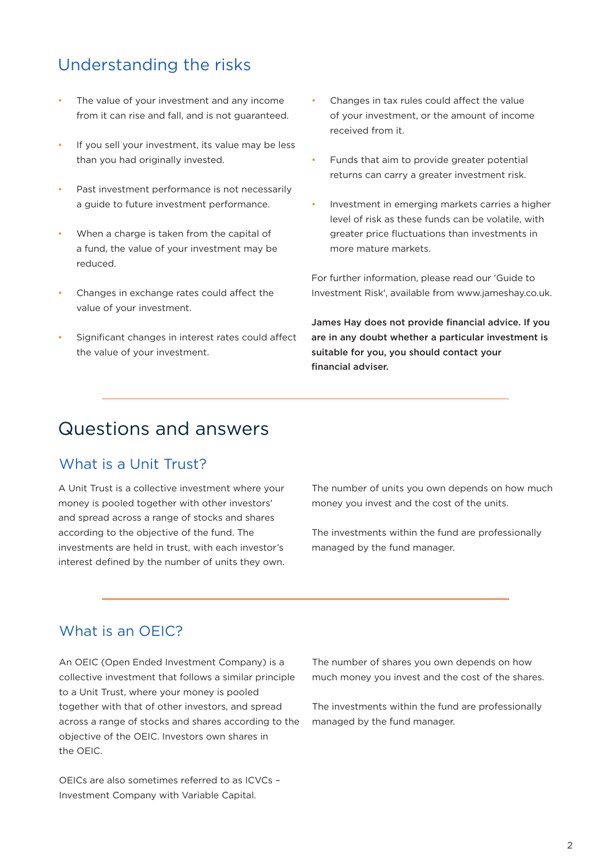### Understanding the risks

- The value of your investment and any income from it can rise and fall, and is not guaranteed.
- If you sell your investment, its value may be less than you had originally invested.
- Past investment performance is not necessarily a guide to future investment performance.
- When a charge is taken from the capital of a fund, the value of your investment may be reduced.
- Changes in exchange rates could affect the value of your investment.
- Significant changes in interest rates could affect the value of your investment.
- Changes in tax rules could affect the value of your investment, or the amount of income received from it.
- Funds that aim to provide greater potential returns can carry a greater investment risk.
- Investment in emerging markets carries a higher level of risk as these funds can be volatile, with greater price fluctuations than investments in more mature markets.

For further information, please read our 'Guide to Investment Risk', available from www.jameshay.co.uk.

James Hay does not provide financial advice. If you are in any doubt whether a particular investment is suitable for you, you should contact your financial adviser.

# Questions and answers

#### What is a Unit Trust?

A Unit Trust is a collective investment where your money is pooled together with other investors' and spread across a range of stocks and shares according to the objective of the fund. The investments are held in trust, with each investor's interest defined by the number of units they own. The number of units you own depends on how much money you invest and the cost of the units.

The investments within the fund are professionally managed by the fund manager.

#### What is an OEIC?

An OEIC (Open Ended Investment Company) is a collective investment that follows a similar principle to a Unit Trust, where your money is pooled together with that of other investors, and spread across a range of stocks and shares according to the objective of the OEIC. Investors own shares in the OEIC.

OEICs are also sometimes referred to as ICVCs – Investment Company with Variable Capital.

The number of shares you own depends on how much money you invest and the cost of the shares.

The investments within the fund are professionally managed by the fund manager.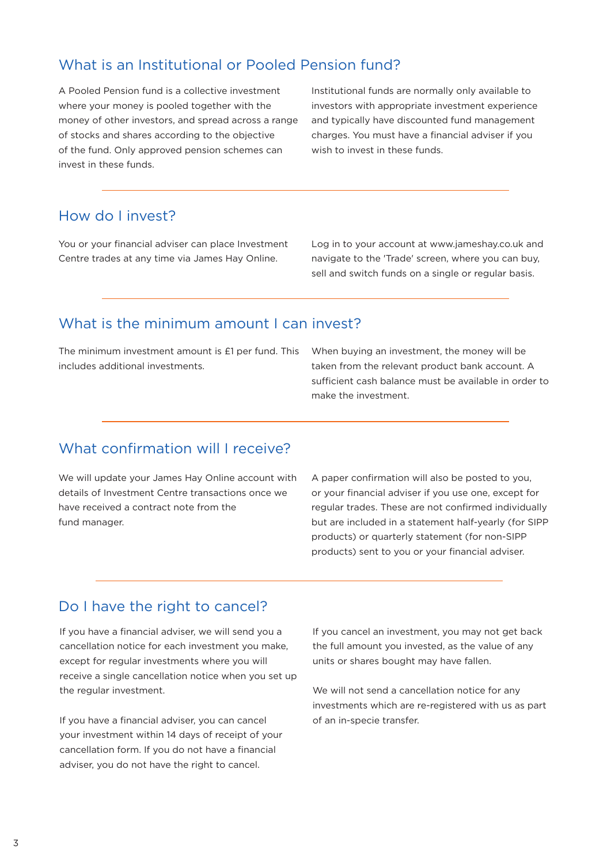### What is an Institutional or Pooled Pension fund?

A Pooled Pension fund is a collective investment where your money is pooled together with the money of other investors, and spread across a range of stocks and shares according to the objective of the fund. Only approved pension schemes can invest in these funds.

Institutional funds are normally only available to investors with appropriate investment experience and typically have discounted fund management charges. You must have a financial adviser if you wish to invest in these funds.

#### How do I invest?

You or your financial adviser can place Investment Centre trades at any time via James Hay Online.

Log in to your account at www.jameshay.co.uk and navigate to the 'Trade' screen, where you can buy, sell and switch funds on a single or regular basis.

#### What is the minimum amount I can invest?

The minimum investment amount is £1 per fund. This includes additional investments.

When buying an investment, the money will be taken from the relevant product bank account. A sufficient cash balance must be available in order to make the investment.

#### What confirmation will I receive?

We will update your James Hay Online account with details of Investment Centre transactions once we have received a contract note from the fund manager.

A paper confirmation will also be posted to you, or your financial adviser if you use one, except for regular trades. These are not confirmed individually but are included in a statement half-yearly (for SIPP products) or quarterly statement (for non-SIPP products) sent to you or your financial adviser.

#### Do I have the right to cancel?

If you have a financial adviser, we will send you a cancellation notice for each investment you make, except for regular investments where you will receive a single cancellation notice when you set up the regular investment.

If you have a financial adviser, you can cancel your investment within 14 days of receipt of your cancellation form. If you do not have a financial adviser, you do not have the right to cancel.

If you cancel an investment, you may not get back the full amount you invested, as the value of any units or shares bought may have fallen.

We will not send a cancellation notice for any investments which are re-registered with us as part of an in-specie transfer.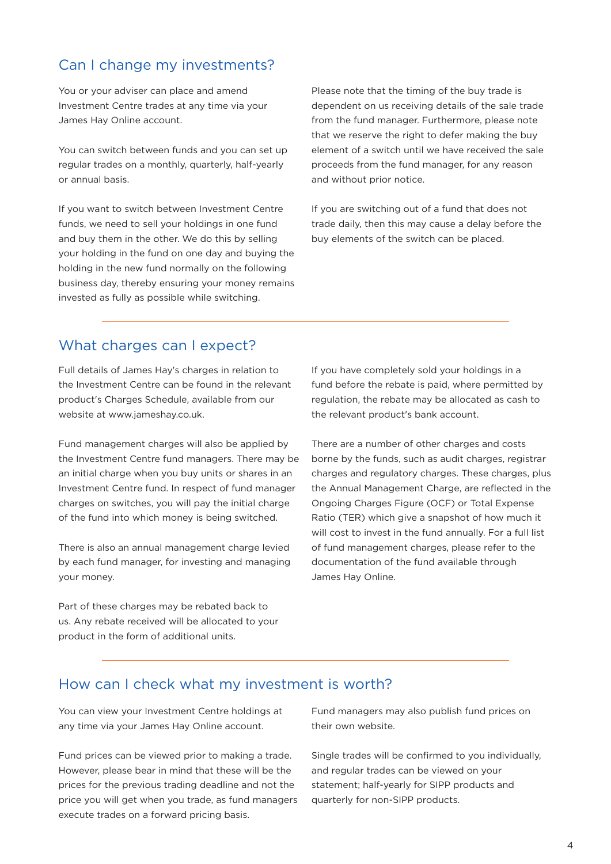#### Can I change my investments?

You or your adviser can place and amend Investment Centre trades at any time via your James Hay Online account.

You can switch between funds and you can set up regular trades on a monthly, quarterly, half-yearly or annual basis.

If you want to switch between Investment Centre funds, we need to sell your holdings in one fund and buy them in the other. We do this by selling your holding in the fund on one day and buying the holding in the new fund normally on the following business day, thereby ensuring your money remains invested as fully as possible while switching.

Please note that the timing of the buy trade is dependent on us receiving details of the sale trade from the fund manager. Furthermore, please note that we reserve the right to defer making the buy element of a switch until we have received the sale proceeds from the fund manager, for any reason and without prior notice.

If you are switching out of a fund that does not trade daily, then this may cause a delay before the buy elements of the switch can be placed.

#### What charges can I expect?

Full details of James Hay's charges in relation to the Investment Centre can be found in the relevant product's Charges Schedule, available from our website at www.jameshay.co.uk.

Fund management charges will also be applied by the Investment Centre fund managers. There may be an initial charge when you buy units or shares in an Investment Centre fund. In respect of fund manager charges on switches, you will pay the initial charge of the fund into which money is being switched.

There is also an annual management charge levied by each fund manager, for investing and managing your money.

Part of these charges may be rebated back to us. Any rebate received will be allocated to your product in the form of additional units.

If you have completely sold your holdings in a fund before the rebate is paid, where permitted by regulation, the rebate may be allocated as cash to the relevant product's bank account.

There are a number of other charges and costs borne by the funds, such as audit charges, registrar charges and regulatory charges. These charges, plus the Annual Management Charge, are reflected in the Ongoing Charges Figure (OCF) or Total Expense Ratio (TER) which give a snapshot of how much it will cost to invest in the fund annually. For a full list of fund management charges, please refer to the documentation of the fund available through James Hay Online.

#### How can I check what my investment is worth?

You can view your Investment Centre holdings at any time via your James Hay Online account.

Fund prices can be viewed prior to making a trade. However, please bear in mind that these will be the prices for the previous trading deadline and not the price you will get when you trade, as fund managers execute trades on a forward pricing basis.

Fund managers may also publish fund prices on their own website.

Single trades will be confirmed to you individually, and regular trades can be viewed on your statement; half-yearly for SIPP products and quarterly for non-SIPP products.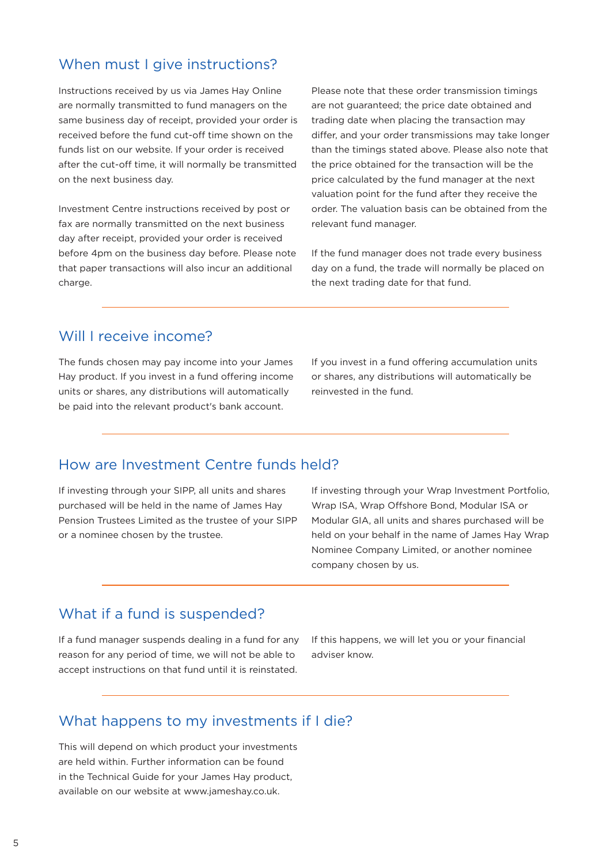#### When must I give instructions?

Instructions received by us via James Hay Online are normally transmitted to fund managers on the same business day of receipt, provided your order is received before the fund cut-off time shown on the funds list on our website. If your order is received after the cut-off time, it will normally be transmitted on the next business day.

Investment Centre instructions received by post or fax are normally transmitted on the next business day after receipt, provided your order is received before 4pm on the business day before. Please note that paper transactions will also incur an additional charge.

Please note that these order transmission timings are not guaranteed; the price date obtained and trading date when placing the transaction may differ, and your order transmissions may take longer than the timings stated above. Please also note that the price obtained for the transaction will be the price calculated by the fund manager at the next valuation point for the fund after they receive the order. The valuation basis can be obtained from the relevant fund manager.

If the fund manager does not trade every business day on a fund, the trade will normally be placed on the next trading date for that fund.

#### Will I receive income?

The funds chosen may pay income into your James Hay product. If you invest in a fund offering income units or shares, any distributions will automatically be paid into the relevant product's bank account.

If you invest in a fund offering accumulation units or shares, any distributions will automatically be reinvested in the fund.

#### How are Investment Centre funds held?

If investing through your SIPP, all units and shares purchased will be held in the name of James Hay Pension Trustees Limited as the trustee of your SIPP or a nominee chosen by the trustee.

If investing through your Wrap Investment Portfolio, Wrap ISA, Wrap Offshore Bond, Modular ISA or Modular GIA, all units and shares purchased will be held on your behalf in the name of James Hay Wrap Nominee Company Limited, or another nominee company chosen by us.

#### What if a fund is suspended?

If a fund manager suspends dealing in a fund for any reason for any period of time, we will not be able to accept instructions on that fund until it is reinstated.

If this happens, we will let you or your financial adviser know.

#### What happens to my investments if I die?

This will depend on which product your investments are held within. Further information can be found in the Technical Guide for your James Hay product, available on our website at www.jameshay.co.uk.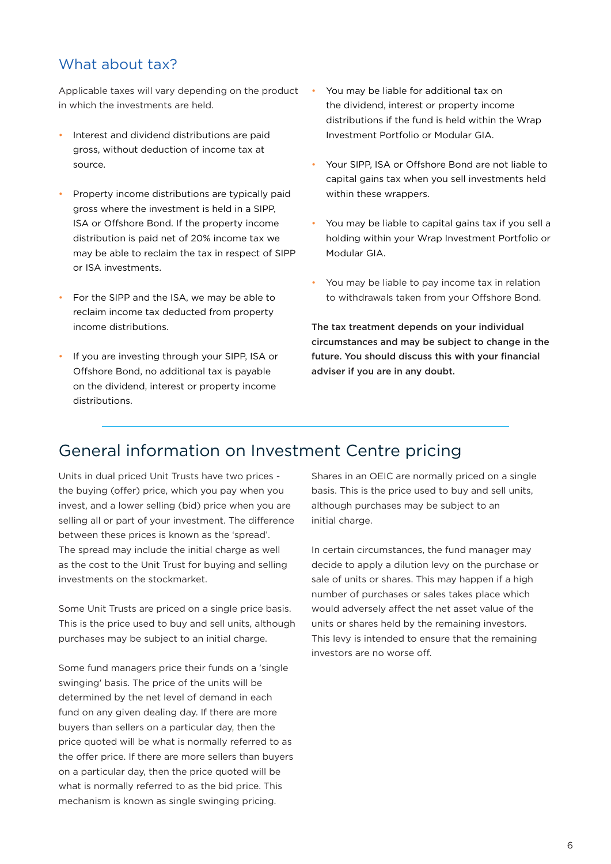#### What about tax?

Applicable taxes will vary depending on the product in which the investments are held.

- Interest and dividend distributions are paid gross, without deduction of income tax at source.
- Property income distributions are typically paid gross where the investment is held in a SIPP, ISA or Offshore Bond. If the property income distribution is paid net of 20% income tax we may be able to reclaim the tax in respect of SIPP or ISA investments.
- For the SIPP and the ISA, we may be able to reclaim income tax deducted from property income distributions.
- If you are investing through your SIPP, ISA or Offshore Bond, no additional tax is payable on the dividend, interest or property income distributions.
- You may be liable for additional tax on the dividend, interest or property income distributions if the fund is held within the Wrap Investment Portfolio or Modular GIA.
- Your SIPP, ISA or Offshore Bond are not liable to capital gains tax when you sell investments held within these wrappers.
- You may be liable to capital gains tax if you sell a holding within your Wrap Investment Portfolio or Modular GIA.
- You may be liable to pay income tax in relation to withdrawals taken from your Offshore Bond.

The tax treatment depends on your individual circumstances and may be subject to change in the future. You should discuss this with your financial adviser if you are in any doubt.

### General information on Investment Centre pricing

Units in dual priced Unit Trusts have two prices the buying (offer) price, which you pay when you invest, and a lower selling (bid) price when you are selling all or part of your investment. The difference between these prices is known as the 'spread'. The spread may include the initial charge as well as the cost to the Unit Trust for buying and selling investments on the stockmarket.

Some Unit Trusts are priced on a single price basis. This is the price used to buy and sell units, although purchases may be subject to an initial charge.

Some fund managers price their funds on a 'single swinging' basis. The price of the units will be determined by the net level of demand in each fund on any given dealing day. If there are more buyers than sellers on a particular day, then the price quoted will be what is normally referred to as the offer price. If there are more sellers than buyers on a particular day, then the price quoted will be what is normally referred to as the bid price. This mechanism is known as single swinging pricing.

Shares in an OEIC are normally priced on a single basis. This is the price used to buy and sell units, although purchases may be subject to an initial charge.

In certain circumstances, the fund manager may decide to apply a dilution levy on the purchase or sale of units or shares. This may happen if a high number of purchases or sales takes place which would adversely affect the net asset value of the units or shares held by the remaining investors. This levy is intended to ensure that the remaining investors are no worse off.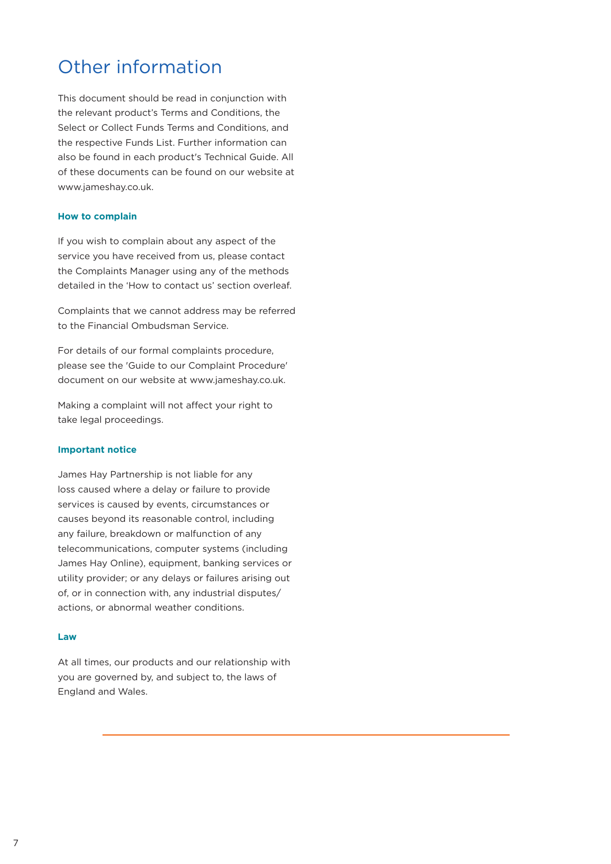# Other information

This document should be read in conjunction with the relevant product's Terms and Conditions, the Select or Collect Funds Terms and Conditions, and the respective Funds List. Further information can also be found in each product's Technical Guide. All of these documents can be found on our website at www.jameshay.co.uk.

#### **How to complain**

If you wish to complain about any aspect of the service you have received from us, please contact the Complaints Manager using any of the methods detailed in the 'How to contact us' section overleaf.

Complaints that we cannot address may be referred to the Financial Ombudsman Service.

For details of our formal complaints procedure, please see the 'Guide to our Complaint Procedure' document on our website at www.jameshay.co.uk.

Making a complaint will not affect your right to take legal proceedings.

#### **Important notice**

James Hay Partnership is not liable for any loss caused where a delay or failure to provide services is caused by events, circumstances or causes beyond its reasonable control, including any failure, breakdown or malfunction of any telecommunications, computer systems (including James Hay Online), equipment, banking services or utility provider; or any delays or failures arising out of, or in connection with, any industrial disputes/ actions, or abnormal weather conditions.

#### **Law**

At all times, our products and our relationship with you are governed by, and subject to, the laws of England and Wales.